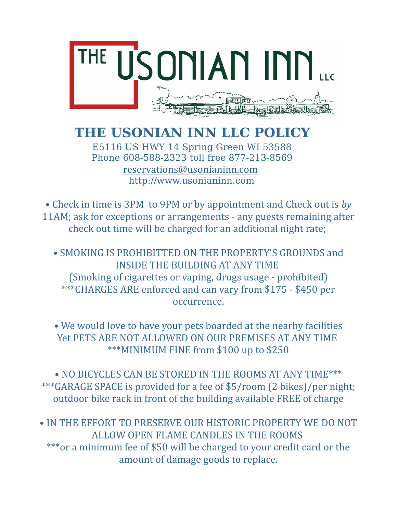

## **THE USONIAN INN LLC POLICY** E5116 US HWY 14 Spring Green WI 53588 Phone 608-588-2323 toll free 877-213-8569

 [reservations@usonianinn.com](mailto:reservations@usonianinn.com) http://www.usonianinn.com

• Check in time is 3PM to 9PM or by appointment and Check out is *by* 11AM; ask for exceptions or arrangements - any guests remaining after check out time will be charged for an additional night rate;

• SMOKING IS PROHIBITTED ON THE PROPERTY'S GROUNDS and INSIDE THE BUILDING AT ANY TIME (Smoking of cigarettes or vaping, drugs usage - prohibited) \*\*\*CHARGES ARE enforced and can vary from \$175 - \$450 per occurrence.

• We would love to have your pets boarded at the nearby facilities Yet PETS ARE NOT ALLOWED ON OUR PREMISES AT ANY TIME \*\*\*MINIMUM FINE from \$100 up to \$250

• NO BICYCLES CAN BE STORED IN THE ROOMS AT ANY TIME\*\*\* \*\*\*GARAGE SPACE is provided for a fee of \$5/room (2 bikes)/per night; outdoor bike rack in front of the building available FREE of charge

• IN THE EFFORT TO PRESERVE OUR HISTORIC PROPERTY WE DO NOT ALLOW OPEN FLAME CANDLES IN THE ROOMS \*\*\*or a minimum fee of \$50 will be charged to your credit card or the amount of damage goods to replace.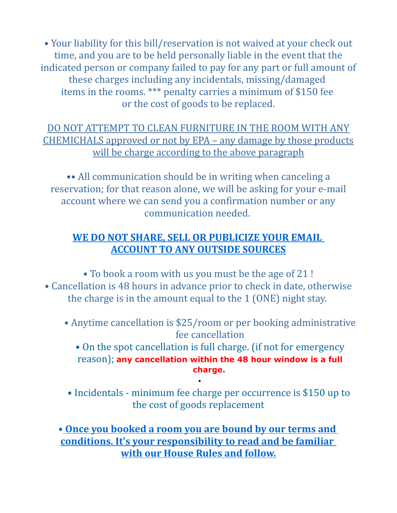• Your liability for this bill/reservation is not waived at your check out time, and you are to be held personally liable in the event that the indicated person or company failed to pay for any part or full amount of these charges including any incidentals, missing/damaged items in the rooms. \*\*\* penalty carries a minimum of \$150 fee or the cost of goods to be replaced.

DO NOT ATTEMPT TO CLEAN FURNITURE IN THE ROOM WITH ANY CHEMICHALS approved or not by EPA – any damage by those products will be charge according to the above paragraph

•• All communication should be in writing when canceling a reservation; for that reason alone, we will be asking for your e-mail account where we can send you a confirmation number or any communication needed.

## **WE DO NOT SHARE, SELL OR PUBLICIZE YOUR EMAIL ACCOUNT TO ANY OUTSIDE SOURCES**

- To book a room with us you must be the age of 21 ! • Cancellation is 48 hours in advance prior to check in date, otherwise the charge is in the amount equal to the 1 (ONE) night stay.
	- Anytime cancellation is \$25/room or per booking administrative fee cancellation
		- On the spot cancellation is full charge. (if not for emergency reason); **any cancellation within the 48 hour window is a full charge.**
	- Incidentals minimum fee charge per occurrence is \$150 up to the cost of goods replacement

• **Once you booked a room you are bound by our terms and conditions. It's your responsibility to read and be familiar with our House Rules and follow.**

•